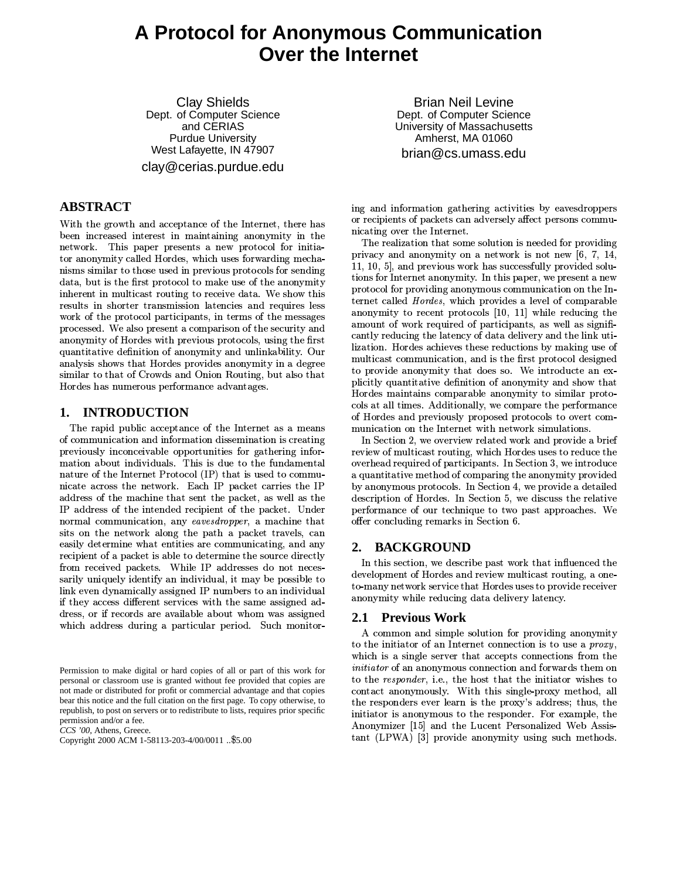# **A Protocol for Anonymous Communication Over the Internet**

Clay Shields Dept. of Computer Science and CERIAS Purdue University West Lafayette, IN 47907 clay@cerias.purdue.edu

# Brian Neil Levine Dept. of Computer Science University of Massachusetts Amherst, MA 01060 brian@cs.umass.edu

# **ABSTRACT**

 - - -   
-  - - - -. The second contract of the second contract of the second contract of the second contract of the second contra - 
 - -  - -   - - -  - - - - -  - - . The set of the set of the set of the set of the set of the set of the set of the set of the set of the set of the set of the set of the set of the set of the set of the set of the set of the set of the set of the set of - - - -  - -  -  
 - - -  -  
 -  -  $\alpha \rightarrow 1$  and  $\alpha$  . The contract of the contract of the contract of the contract of the contract of the contract of the contract of the contract of the contract of the contract of the contract of the contract of the contr اللاة الأمار السابقة التي تعالى التي التي التي المراجع التي تعالى التي تعالى التي تعالى التي تعالى التي تعالى ا<br>اللاة التي تعالى التي تعالى التي تعالى التي تعالى التي تعالى التي تعالى التي تعالى التي تعالى التي تعالى التي - A strategies of the strategies of the strategies of the strategies of the strategies of the strategies of the - - - ! - - experimental control of the control of the control of the control of the control of the control of the control of the control of the control of the control of the control of the control of the control of the control of the

# **1. INTRODUCTION**

 $-$  . The state of the state of the state of the state of the state of the state of the state of the state of the state of the state of the state of the state of the state of the state of the state of the state of the sta  $\alpha$  , and a set of the set of the set of the set of the set of the set of the set of the set of the set of the set of the set of the set of the set of the set of the set of the set of the set of the set of the set of the -between the contract of the contract of the contract of the contract of the contract of the contract of the contract of the contract of the contract of the contract of the contract of the contract of the contract of the c - - - -  $\alpha$  , and  $\alpha$  is the set of the set of the set of the set of the set of the set of the set of the set of the set of the set of the set of the set of the set of the set of the set of the set of the set of the set of the  $\mathcal{L} = \{ \mathcal{L}^{\mathcal{L}} \mathcal{L}^{\mathcal{L}} \mathcal{L}^{\mathcal{L}} \mathcal{L}^{\mathcal{L}} \mathcal{L}^{\mathcal{L}} \mathcal{L}^{\mathcal{L}} \mathcal{L}^{\mathcal{L}} \mathcal{L}^{\mathcal{L}} \mathcal{L}^{\mathcal{L}} \mathcal{L}^{\mathcal{L}} \mathcal{L}^{\mathcal{L}} \mathcal{L}^{\mathcal{L}} \mathcal{L}^{\mathcal{L}} \mathcal{L}^{\mathcal{L}} \mathcal{L}^{\mathcal{L}} \mathcal{L}^{\mathcal{L}} \mathcal$  -  - - - -  - - $\mathbf{h}$  normal communication, any eavesdropper, a machine that  $\qquad \qquad \mathbf{offer}$  (  $-$  . The set of the set of the set of the set of the set of the set of the set of the set of the set of the set of the set of the set of the set of the set of the set of the set of the set of the set of the set of the se  $\mathcal{L}=\mathcal{L}=\mathcal{L}=\mathcal{L}=\mathcal{L}=\mathcal{L}=\mathcal{L}=\mathcal{L}=\mathcal{L}=\mathcal{L}=\mathcal{L}=\mathcal{L}=\mathcal{L}=\mathcal{L}=\mathcal{L}=\mathcal{L}=\mathcal{L}=\mathcal{L}=\mathcal{L}=\mathcal{L}=\mathcal{L}=\mathcal{L}=\mathcal{L}=\mathcal{L}=\mathcal{L}=\mathcal{L}=\mathcal{L}=\mathcal{L}=\mathcal{L}=\mathcal{L}=\mathcal{L}=\mathcal{L}=\mathcal{L}=\mathcal{L}=\mathcal{L}=\mathcal{L}=\mathcal{$  $\blacksquare$  . The contract of the contract of the contract of the contract of the contract of the contract of the contract of the contract of the contract of the contract of the contract of the contract of the contract of the  $\alpha$  , and the second term of the second contract of the second contract of the second contract of the second contract of the second contract of the second contract of the second contract of the second contract of the sec - - -  " -  $\alpha$  , and the contract of the contract of the contract of the contract of the contract of the contract of the contract of the contract of the contract of the contract of the contract of the contract of the contract of th en andere en de statistike en de statistike en de statistike en de statistike en de statistike en de statistik . The contract of the contract of the contract of the contract of the contract of the contract of the contract of the contract of the contract of the contract of the contract of the contract of the contract of the contrac

*CCS '00,* Athens, Greece.

Copyright 2000 ACM 1-58113-203-4/00/0011 ..\$5.00

 $\alpha$  are proportions of packets can adversely affect persons commu- $\sum_{n=1}^{\infty}$   $\sum_{n=1}^{\infty}$   $\sum_{n=1}^{\infty}$   $\sum_{n=1}^{\infty}$   $\sum_{n=1}^{\infty}$   $\sum_{n=1}^{\infty}$   $\sum_{n=1}^{\infty}$   $\sum_{n=1}^{\infty}$   $\sum_{n=1}^{\infty}$   $\sum_{n=1}^{\infty}$   $\sum_{n=1}^{\infty}$   $\sum_{n=1}^{\infty}$   $\sum_{n=1}^{\infty}$   $\sum_{n=1}^{\infty}$   $\sum_{n=1}^{\in$ 

 $\blacksquare$  . The set of the set of the set of the set of the set of the set of the set of the set of the set of the set of the set of the set of the set of the set of the set of the set of the set of the set of the set of the

 $\overline{a}$  The realization that some solution is needed for providing   - - - 34 5 67  $\frac{11}{2}$  6  $\frac{11}{2}$  6  $\frac{1}{2}$  and previous work has successfully provided solu-<sup>1</sup> <sup>1</sup>  $\sim$  6 tions for Internet anonymity. In this paper, we present a new  $\mathbb{R}^{\mathbb{Z}}$  represents the properties of the support of the set of the set of the set of the set of the set of the set of the set of the set of the set of the set of the set of the set of the set of the set of the set  $\mathbb{R}^2$   $\mathbb{R}^3$  anonymity to recent protocols [10, 11] while reducing the  $\tilde{I}$  a mount of work required of participants, as well as signifi- $\mathbb{R}^3$  and the link utime that  $\mathbb{R}^3$  defines the link utime of data delivery and the link utimes of  $\mathbb{R}^3$ .  $\mathbb{R}^2$  is the Hordes schieves these reductions by making use of  $\mathbb{R}^3$   $\mathbb{R}^3$  =  $\mathbb{R}^3$  multicast communication, and is the first protocol designed  $\mathcal{L}$  to provide anonymity that does so. We introducte an ex-  - - - - - - ternet called *Hordes*, which provides a level of comparable  $\sim$  . The contract of the contract of the contract of the contract of the contract of the contract of the contract of the contract of the contract of the contract of the contract of the contract of the contract of the co  $\mathbf{a}$  . The set of the set of the set of the set of the set of the set of the set of the set of the set of the set of the set of the set of the set of the set of the set of the set of the set of the set of the set of t results to the contract of the contract of the contract of the contract of the contract of the contract of the  $\blacksquare$  . The set of the set of the set of the set of the set of the set of the set of the set of the set of the set of the set of the set of the set of the set of the set of the set of the set of the set of the set of the

 $\bullet$  . The set of the set of the set of the set of the set of the set of the set of the set of the set of the set of the set of the set of the set of the set of the set of the set of the set of the set of the set of the s  $\alpha$  , and the set of the set of the set of the set of the set of the set of the set of the set of the set of the set of the set of the set of the set of the set of the set of the set of the set of the set of the set of t  $\mathcal{L} = \mathcal{L} \mathcal{L} = \mathcal{L} \mathcal{L}$  . The contract of the contract of the contract of the contract of the contract of the contract of the contract of the contract of the contract of the contract of the contract of the cont  $\blacksquare$  . The contract of the contract of the contract of the contract of the contract of the contract of the contract of the contract of the contract of the contract of the contract of the contract of the contract of the  $\mathcal{L} = \{ \mathcal{L}^{\mathcal{L}} \}$  . The contract of the contract of the contract of the contract of the contract of the contract of the contract of the contract of the contract of the contract of the contract of the contract of  $\mathcal{L}=\mathcal{L}^{\mathcal{L}}$  , and the set of the set of the set of the set of the set of the set of the set of the set of the set of the set of the set of the set of the set of the set of the set of the set of the set of the se  $\sim$  -  $\sim$  -  $\sim$  -  $\sim$  -  $\sim$  -  $\sim$  -  $\sim$  -  $\sim$  -  $\sim$  -  $\sim$  -  $\sim$  -  $\sim$  -  $\sim$  -  $\sim$  -  $\sim$  -  $\sim$  -  $\sim$  -  $\sim$  -  $\sim$  -  $\sim$  -  $\sim$  -  $\sim$  -  $\sim$  -  $\sim$  -  $\sim$  -  $\sim$  -  $\sim$  -  $\sim$  -  $\sim$  -  $\sim$  -  $\sim$  -  $\sim$ 4

#### **2. BACKGROUND**

 $\frac{1}{2}$  In this section we describe past work that influenced the  $\dot{\theta}$  development of Hordes and review multicast routing a one- $\ldots$   $\ldots$  to many network service that Hordes uses to provide receiver  $\mathbf{r}$  anonymity while reducing data delivery latency

# - **2.1 Previous Work**

 $\blacksquare$  . The state of the state of the state of the state of the state of the state of the state of the state of the state of the state of the state of the state of the state of the state of the state of the state of the  $\mathcal{L} = \mathcal{L} - \mathcal{L}$  , and the set of the set of the set of the set of the set of the set of the set of the set of the set of the set of the set of the set of the set of the set of the set of the set of the set of the s  $\blacksquare$  . The contract of the contract of the contract of the contract of the contract of the contract of the contract of the contract of the contract of the contract of the contract of the contract of the contract of the  $\mathcal{L} = \mathcal{L} \mathcal{L} = \mathcal{L} \mathcal{L}$  , and the set of the set of the set of the set of the set of the set of the set of the set of the set of the set of the set of the set of the set of the set of the set of the set of the to the *responder*, i.e., the host that the initiator wishes to  $\blacksquare$  . The contract of the contract of the contract of the contract of the contract of the contract of the contract of the contract of the contract of the contract of the contract of the contract of the contract of the  $\mathbf{F} = \mathbf{F} \mathbf{F} + \mathbf{F} \mathbf{F} + \mathbf{F} \mathbf{F} + \mathbf{F} \mathbf{F} + \mathbf{F} \mathbf{F} + \mathbf{F} \mathbf{F} + \mathbf{F} \mathbf{F} + \mathbf{F} \mathbf{F} + \mathbf{F} \mathbf{F} + \mathbf{F} \mathbf{F} + \mathbf{F} \mathbf{F} + \mathbf{F} \mathbf{F} + \mathbf{F} \mathbf{F} + \mathbf{F} \mathbf{F} + \mathbf{F} \mathbf{F} + \mathbf{F} \mathbf{F} + \mathbf{F$  $\mathbf{r} = \mathbf{r} + \mathbf{r}$  , and the set of the set of the set of the set of the set of the set of the set of the set of the set of the set of the set of the set of the set of the set of the set of the set of the set of the s  $\blacksquare$  . The set of the set of the set of the set of the set of the set of the set of the set of the set of the set of the set of the set of the set of the set of the set of the set of the set of the set of the set of the - - #I "= \$ 3? : -  -

Permission to make digital or hard copies of all or part of this work for personal or classroom use is granted without fee provided that copies are not made or distributed for profit or commercial advantage and that copies bear this notice and the full citation on the first page. To copy otherwise, to republish, to post on servers or to redistribute to lists, requires prior specific permission and/or a fee.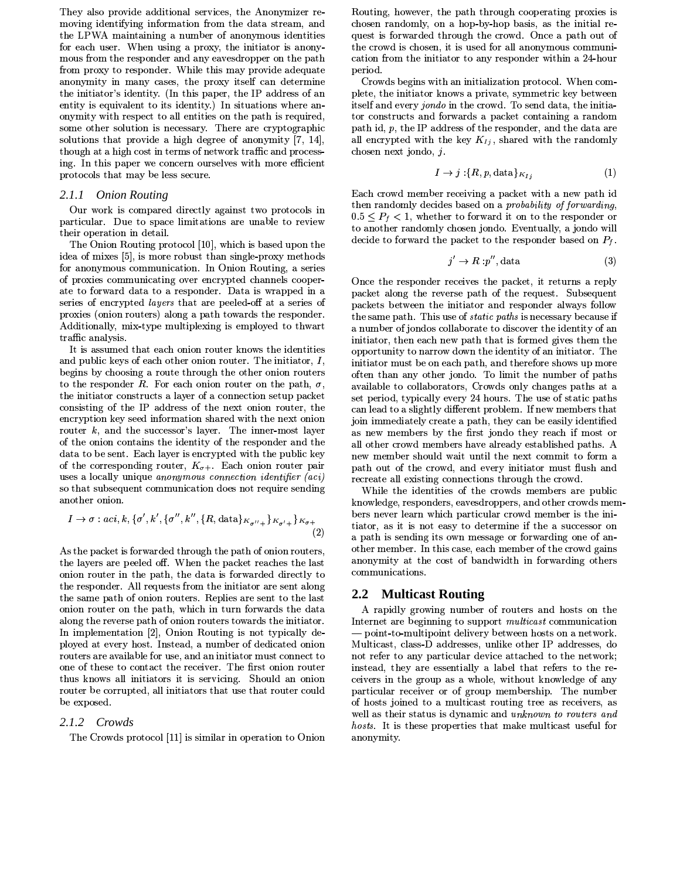They also provide additional services, the Anonymizer removing identifying information from the data stream, and the LPWA maintaining a number of anonymous identities for each user. When using a proxy, the initiator is anonymous from the responder and any eavesdropper on the path from proxy to responder. While this may provide adequate anonymity in many cases, the proxy itself can determine the initiator's identity. (In this paper, the IP address of an entity is equivalent to its identity.) In situations where anonymity with respect to all entities on the path is required, some other solution is necessary. There are cryptographic solutions that provide a high degree of anonymity [7, 14], though at a high cost in terms of network traffic and processing. In this paper we concern ourselves with more efficient protocols that may be less secure.

### 2.1.1 Onion Routing

Our work is compared directly against two protocols in particular. Due to space limitations are unable to review their operation in detail.

The Onion Routing protocol [10], which is based upon the idea of mixes [5], is more robust than single-proxy methods for anonymous communication. In Onion Routing, a series of proxies communicating over encrypted channels cooperate to forward data to a responder. Data is wrapped in a series of encrypted layers that are peeled off at a series of proxies (onion routers) along a path towards the responder. Additionally, mix-type multiplexing is employed to thwart traffic analysis.

It is assumed that each onion router knows the identities and public keys of each other onion router. The initiator,  $I$ , begins by choosing a route through the other onion routers to the responder R. For each onion router on the path,  $\sigma$ . the initiator constructs a layer of a connection setup packet consisting of the IP address of the next onion router, the encryption key seed information shared with the next onion router  $k$ , and the successor's layer. The inner-most layer of the onion contains the identity of the responder and the data to be sent. Each layer is encrypted with the public key of the corresponding router,  $K_{\sigma+}$ . Each onion router pair uses a locally unique anonymous connection identifier (aci) so that subsequent communication does not require sending another onion.

$$
I \rightarrow \sigma : aci, k, \{\sigma', k', \{\sigma'', k'', \{R, \text{data}\}_{K_{\sigma''+}}\}_{K_{\sigma'+}}\}_{K_{\sigma+}}
$$
  
(2)

As the packet is forwarded through the path of onion routers, the layers are peeled off. When the packet reaches the last onion router in the path, the data is forwarded directly to the responder. All requests from the initiator are sent along the same path of onion routers. Replies are sent to the last onion router on the path, which in turn forwards the data along the reverse path of onion routers towards the initiator. In implementation [2], Onion Routing is not typically deployed at every host. Instead, a number of dedicated onion routers are available for use, and an initiator must connect to one of these to contact the receiver. The first onion router thus knows all initiators it is servicing. Should an onion router be corrupted, all initiators that use that router could be exposed.

### 2.1.2 Crowds

The Crowds protocol [11] is similar in operation to Onion

Routing, however, the path through cooperating proxies is chosen randomly, on a hop-by-hop basis, as the initial request is forwarded through the crowd. Once a path out of the crowd is chosen, it is used for all anonymous communication from the initiator to any responder within a 24-hour period.

Crowds begins with an initialization protocol. When complete, the initiator knows a private, symmetric key between itself and every *jondo* in the crowd. To send data, the initiator constructs and forwards a packet containing a random path id,  $p$ , the IP address of the responder, and the data are all encrypted with the key  $K_{Ij}$ , shared with the randomly chosen next jondo,  $j$ .

$$
I \to j: \{R, p, \text{data}\}_{K_{Ij}} \tag{1}
$$

Each crowd member receiving a packet with a new path id then randomly decides based on a *probability* of forwarding.  $0.5 < P_f < 1$ , whether to forward it on to the responder or to another randomly chosen jondo. Eventually, a jondo will decide to forward the packet to the responder based on  $P_f$ .

$$
j' \to R : p'', \text{data} \tag{3}
$$

Once the responder receives the packet, it returns a reply packet along the reverse path of the request. Subsequent packets between the initiator and responder always follow the same path. This use of *static paths* is necessary because if a number of jondos collaborate to discover the identity of an initiator, then each new path that is formed gives them the opportunity to narrow down the identity of an initiator. The initiator must be on each path, and therefore shows up more often than any other jondo. To limit the number of paths available to collaborators. Crowds only changes paths at a set period, typically every 24 hours. The use of static paths can lead to a slightly different problem. If new members that join immediately create a path, they can be easily identified as new members by the first jondo they reach if most or all other crowd members have already established paths. A new member should wait until the next commit to form a path out of the crowd, and every initiator must flush and recreate all existing connections through the crowd.

While the identities of the crowds members are public knowledge, responders, eavesdroppers, and other crowds members never learn which particular crowd member is the initiator, as it is not easy to determine if the a successor on a path is sending its own message or forwarding one of another member. In this case, each member of the crowd gains anonymity at the cost of bandwidth in forwarding others communications.

# 2.2 Multicast Routing

A rapidly growing number of routers and hosts on the Internet are beginning to support *multicast* communication - point-to-multipoint delivery between hosts on a network. Multicast, class-D addresses, unlike other IP addresses, do not refer to any particular device attached to the network; instead, they are essentially a label that refers to the receivers in the group as a whole, without knowledge of any particular receiver or of group membership. The number of hosts joined to a multicast routing tree as receivers, as well as their status is dynamic and unknown to routers and hosts. It is these properties that make multicast useful for anonymity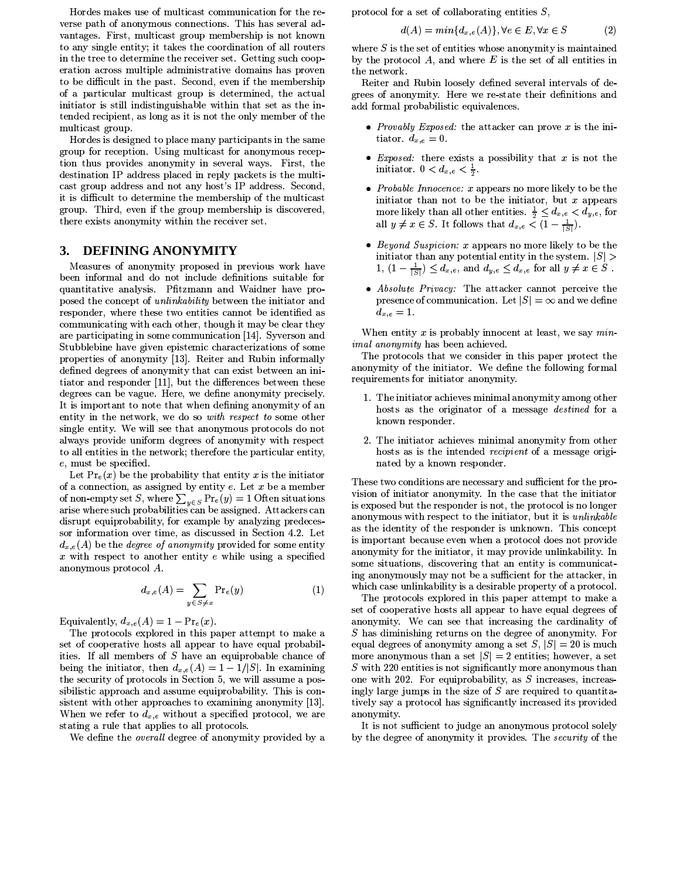Hordes makes use of multicast communication for the reverse path of anonymous connections. This has several advantages. First, multicast group membership is not known to any single entity; it takes the coordination of all routers in the tree to determine the receiver set. Getting such cooperation across multiple administrative domains has proven to be difficult in the past. Second, even if the membership of a particular multicast group is determined, the actual initiator is still indistinguishable within that set as the intended recipient, as long as it is not the only member of the multicast group.

Hordes is designed to place many participants in the same group for reception. Using multicast for anonymous reception thus provides anonymity in several ways. First, the destination IP address placed in reply packets is the multicast group address and not any host's IP address. Second, it is difficult to determine the membership of the multicast group. Third, even if the group membership is discovered, there exists anonymity within the receiver set.

#### **DEFINING ANONYMITY** 3.

Measures of anonymity proposed in previous work have been informal and do not include definitions suitable for quantitative analysis. Pfitzmann and Waidner have proposed the concept of *unlinkability* between the initiator and responder, where these two entities cannot be identified as communicating with each other, though it may be clear they are participating in some communication [14]. Syverson and Stubblebine have given epistemic characterizations of some properties of anonymity [13]. Reiter and Rubin informally defined degrees of anonymity that can exist between an initiator and responder [11], but the differences between these degrees can be vague. Here, we define anonymity precisely. It is important to note that when defining anonymity of an entity in the network, we do so with respect to some other single entity. We will see that anonymous protocols do not always provide uniform degrees of anonymity with respect to all entities in the network; therefore the particular entity,  $e$ , must be specified.

Let  $Pr_e(x)$  be the probability that entity x is the initiator of a connection, as assigned by entity  $e$ . Let  $x$  be a member of non-empty set S, where  $\sum_{y \in S} Pr_e(y) = 1$  Often situations arise where such probabilities can be assigned. Attackers can disrupt equiprobability, for example by analyzing predecessor information over time, as discussed in Section 4.2. Let  $d_{x,e}(A)$  be the *degree of anonymity* provided for some entity  $x$  with respect to another entity  $e$  while using a specified anonymous protocol A.

$$
d_{x,e}(A) = \sum_{y \in S \neq x} \Pr_e(y) \tag{1}
$$

Equivalently,  $d_{x,e}(A) = 1 - \Pr_e(x)$ .

The protocols explored in this paper attempt to make a set of cooperative hosts all appear to have equal probabilities. If all members of  $S$  have an equiprobable chance of being the initiator, then  $d_{x,e}(A) = 1 - 1/|S|$ . In examining the security of protocols in Section 5, we will assume a possibilistic approach and assume equiprobability. This is consistent with other approaches to examining anonymity [13]. When we refer to  $d_{x,e}$  without a specified protocol, we are stating a rule that applies to all protocols.

We define the *overall* degree of anonymity provided by a

protocol for a set of collaborating entities  $S$ ,

$$
d(A) = min{d_{x,e}(A)}, \forall e \in E, \forall x \in S
$$
 (2)

where  $S$  is the set of entities whose anonymity is maintained by the protocol  $A$ , and where  $E$  is the set of all entities in the network.

Reiter and Rubin loosely defined several intervals of degrees of anonymity. Here we re-state their definitions and add formal probabilistic equivalences.

- Provably Exposed: the attacker can prove  $x$  is the initiator.  $d_{x,e} = 0$ .
- *Exposed:* there exists a possibility that  $x$  is not the initiator.  $0 < d_{x,e} < \frac{1}{2}$
- $\bullet$  Probable Innocence: x appears no more likely to be the initiator than not to be the initiator, but  $x$  appears more likely than all other entities.  $\frac{1}{2} \leq d_{x,e} < d_{y,e}$ , for all  $y \neq x \in S$ . It follows that  $d_{x,e} < (1 - \frac{1}{|S|})$ .
- Beyond Suspicion: x appears no more likely to be the initiator than any potential entity in the system.  $|S|$ 1,  $(1-\frac{1}{|S|}) \leq d_{x,e}$ , and  $d_{y,e} \leq d_{x,e}$  for all  $y \neq x \in S$ .
- Absolute Privacy: The attacker cannot perceive the presence of communication. Let  $|S| = \infty$  and we define  $d_{x,e} = 1.$

When entity  $x$  is probably innocent at least, we say  $min$ imal anonymity has been achieved.

The protocols that we consider in this paper protect the anonymity of the initiator. We define the following formal requirements for initiator anonymity.

- 1. The initiator achieves minimal anonymity among other hosts as the originator of a message *destined* for a known responder.
- 2. The initiator achieves minimal anonymity from other hosts as is the intended *recipient* of a message originated by a known responder.

These two conditions are necessary and sufficient for the provision of initiator anonymity. In the case that the initiator is exposed but the responder is not, the protocol is no longer anonymous with respect to the initiator, but it is *unlinkable* as the identity of the responder is unknown. This concept is important because even when a protocol does not provide anonymity for the initiator, it may provide unlinkability. In some situations, discovering that an entity is communicating anonymously may not be a sufficient for the attacker, in which case unlinkability is a desirable property of a protocol.

The protocols explored in this paper attempt to make a set of cooperative hosts all appear to have equal degrees of anonymity. We can see that increasing the cardinality of  $S$  has diminishing returns on the degree of anonymity. For equal degrees of anonymity among a set  $S, |S| = 20$  is much more anonymous than a set  $|S| = 2$  entities; however, a set S with 220 entities is not significantly more anonymous than one with 202. For equiprobability, as S increases, increasingly large jumps in the size of  $S$  are required to quantitatively say a protocol has significantly increased its provided anonymity

It is not sufficient to judge an anonymous protocol solely by the degree of anonymity it provides. The security of the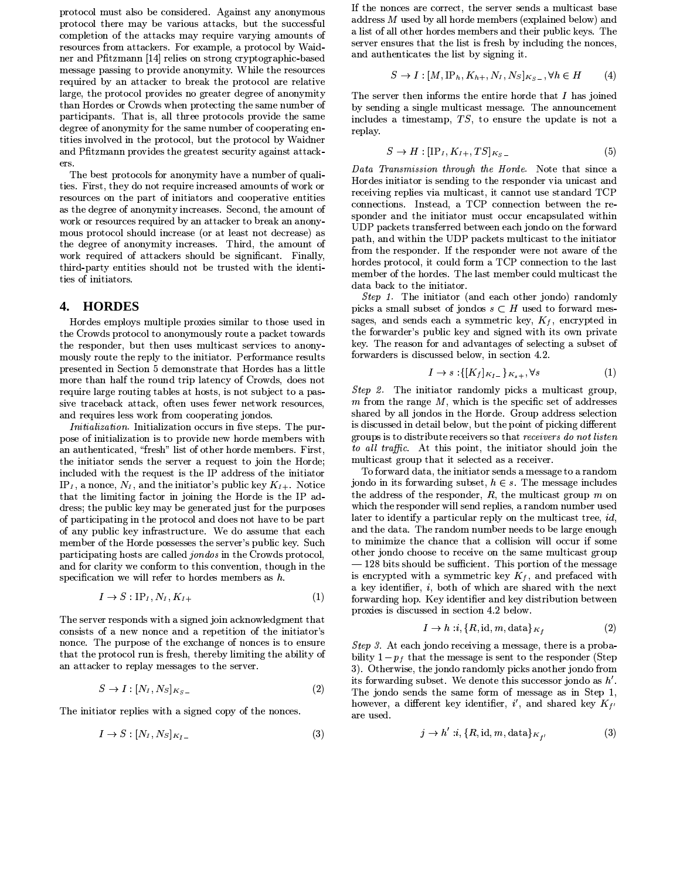protocol must also be considered. Against any anonymous protocol there may be various attacks, but the successful completion of the attacks may require varying amounts of resources from attackers. For example, a protocol by Waidner and Pfitzmann [14] relies on strong cryptographic-based message passing to provide anonymity. While the resources required by an attacker to break the protocol are relative large, the protocol provides no greater degree of anonymity than Hordes or Crowds when protecting the same number of participants. That is, all three protocols provide the same degree of anonymity for the same number of cooperating entities involved in the protocol, but the protocol by Waidner and Pfitzmann provides the greatest security against attackers.

The best protocols for anonymity have a number of qualities. First, they do not require increased amounts of work or resources on the part of initiators and cooperative entities as the degree of anonymity increases. Second, the amount of work or resources required by an attacker to break an anonymous protocol should increase (or at least not decrease) as the degree of anonymity increases. Third, the amount of work required of attackers should be significant. Finally, third-party entities should not be trusted with the identities of initiators.

#### 4. **HORDES**

Hordes employs multiple proxies similar to those used in the Crowds protocol to anonymously route a packet towards the responder, but then uses multicast services to anonymously route the reply to the initiator. Performance results presented in Section 5 demonstrate that Hordes has a little more than half the round trip latency of Crowds, does not require large routing tables at hosts, is not subject to a passive traceback attack, often uses fewer network resources, and requires less work from cooperating jondos.

Initialization. Initialization occurs in five steps. The purpose of initialization is to provide new horde members with an authenticated, "fresh" list of other horde members. First, the initiator sends the server a request to join the Horde; included with the request is the IP address of the initiator IP<sub>I</sub>, a nonce,  $N_I$ , and the initiator's public key  $K_{I+}$ . Notice that the limiting factor in joining the Horde is the IP address; the public key may be generated just for the purposes of participating in the protocol and does not have to be part of any public key infrastructure. We do assume that each member of the Horde possesses the server's public key. Such participating hosts are called *jondos* in the Crowds protocol, and for clarity we conform to this convention, though in the specification we will refer to hordes members as  $h$ .

$$
I \to S: \text{IP}_I, N_I, K_{I+} \tag{1}
$$

The server responds with a signed join acknowledgment that consists of a new nonce and a repetition of the initiator's nonce. The purpose of the exchange of nonces is to ensure that the protocol run is fresh, thereby limiting the ability of an attacker to replay messages to the server.

$$
S \to I : [N_I, N_S]_{K_S} \tag{2}
$$

The initiator replies with a signed copy of the nonces.

$$
I \to S : [N_I, N_S]_{K_I} \tag{3}
$$

If the nonces are correct, the server sends a multicast base address  $M$  used by all horde members (explained below) and a list of all other hordes members and their public keys. The server ensures that the list is fresh by including the nonces, and authenticates the list by signing it.

$$
S \to I : [M, \text{IP}_h, K_{h+}, N_I, N_S]_{K_{S-}}, \forall h \in H \tag{4}
$$

The server then informs the entire horde that  $I$  has joined by sending a single multicast message. The announcement includes a timestamp,  $TS$ , to ensure the update is not a replay.

$$
S \to H : [\text{IP}_I, K_{I+}, TS]_{K_{S-}} \tag{5}
$$

Data Transmission through the Horde. Note that since a Hordes initiator is sending to the responder via unicast and receiving replies via multicast, it cannot use standard TCP connections. Instead, a TCP connection between the responder and the initiator must occur encapsulated within UDP packets transferred between each jondo on the forward path, and within the UDP packets multicast to the initiator from the responder. If the responder were not aware of the hordes protocol, it could form a TCP connection to the last member of the hordes. The last member could multicast the data back to the initiator.

Step 1. The initiator (and each other jondo) randomly picks a small subset of jondos  $s \subset H$  used to forward messages, and sends each a symmetric key,  $K_f$ , encrypted in the forwarder's public key and signed with its own private key. The reason for and advantages of selecting a subset of forwarders is discussed below, in section 4.2.

$$
I \to s: \{ [K_f]_{K_I} \}_{K_{s+}}, \forall s \tag{1}
$$

Step 2. The initiator randomly picks a multicast group,  $m$  from the range  $M$ , which is the specific set of addresses shared by all jondos in the Horde. Group address selection is discussed in detail below, but the point of picking different groups is to distribute receivers so that receivers do not listen to all traffic. At this point, the initiator should join the multicast group that it selected as a receiver.

To forward data, the initiator sends a message to a random jondo in its forwarding subset,  $h \in s$ . The message includes the address of the responder,  $R$ , the multicast group  $m$  on which the responder will send replies, a random number used later to identify a particular reply on the multicast tree,  $id$ , and the data. The random number needs to be large enough to minimize the chance that a collision will occur if some other jondo choose to receive on the same multicast group -128 bits should be sufficient. This portion of the message is encrypted with a symmetric key  $K_f$ , and prefaced with a key identifier,  $i$ , both of which are shared with the next forwarding hop. Key identifier and key distribution between proxies is discussed in section 4.2 below.

$$
I \to h : i, \{R, id, m, data\}_{K_f}
$$
 (2)

Step 3. At each jondo receiving a message, there is a probability  $1 - p_f$  that the message is sent to the responder (Step 3). Otherwise, the jondo randomly picks another jondo from its forwarding subset. We denote this successor jondo as  $h'$ . The jondo sends the same form of message as in Step 1, however, a different key identifier, i', and shared key  $K_f$ are used.

$$
j \to h' : i, \{R, id, m, data\}_{K_{\epsilon'}} \tag{3}
$$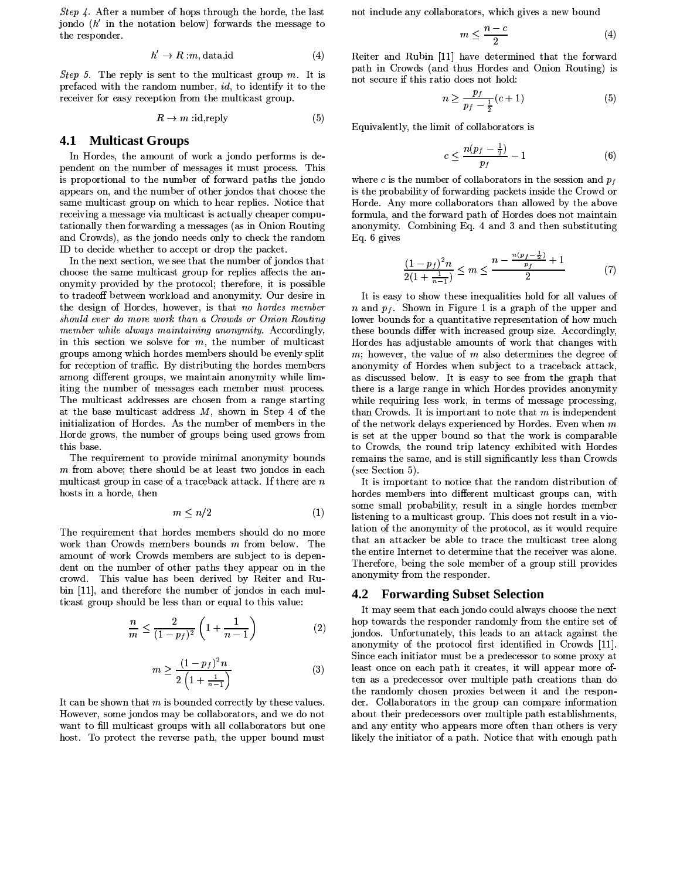Step 4. After a number of hops through the horde, the last jondo  $(h'$  in the notation below) forwards the message to the responder.

$$
h' \to R : m, \text{data}, \text{id}
$$
 (4)

*Step 5.* The reply is sent to the multicast group  $m$ . It is prefaced with the random number,  $id$ , to identify it to the receiver for easy reception from the multicast group.

$$
R \to m \text{ id,} \text{reply} \tag{5}
$$

#### 4.1 **Multicast Groups**

In Hordes, the amount of work a jondo performs is dependent on the number of messages it must process. This is proportional to the number of forward paths the jondo appears on, and the number of other jondos that choose the same multicast group on which to hear replies. Notice that receiving a message via multicast is actually cheaper computationally then forwarding a messages (as in Onion Routing and Crowds), as the jondo needs only to check the random ID to decide whether to accept or drop the packet.

In the next section, we see that the number of jondos that choose the same multicast group for replies affects the anonymity provided by the protocol; therefore, it is possible to tradeoff between workload and anonymity. Our desire in the design of Hordes, however, is that no hordes member should ever do more work than a Crowds or Onion Routing member while always maintaining anonymity. Accordingly, in this section we solsve for  $m$ , the number of multicast groups among which hordes members should be evenly split for reception of traffic. By distributing the hordes members among different groups, we maintain anonymity while limiting the number of messages each member must process. The multicast addresses are chosen from a range starting at the base multicast address  $M$ , shown in Step 4 of the initialization of Hordes. As the number of members in the Horde grows, the number of groups being used grows from this base.

The requirement to provide minimal anonymity bounds  $m$  from above; there should be at least two jondos in each multicast group in case of a traceback attack. If there are  $n$ hosts in a horde, then

$$
m \le n/2 \tag{1}
$$

The requirement that hordes members should do no more work than Crowds members bounds m from below. The amount of work Crowds members are subject to is dependent on the number of other paths they appear on in the crowd. This value has been derived by Reiter and Rubin [11], and therefore the number of jondos in each multicast group should be less than or equal to this value:

$$
\frac{n}{m} \le \frac{2}{(1 - p_f)^2} \left( 1 + \frac{1}{n - 1} \right) \tag{2}
$$

$$
m \ge \frac{(1 - p_f)^2 n}{2 \left(1 + \frac{1}{n - 1}\right)}\tag{3}
$$

It can be shown that  $m$  is bounded correctly by these values. However, some jondos may be collaborators, and we do not want to fill multicast groups with all collaborators but one host. To protect the reverse path, the upper bound must not include any collaborators, which gives a new bound

$$
m \le \frac{n-c}{2} \tag{4}
$$

Reiter and Rubin [11] have determined that the forward path in Crowds (and thus Hordes and Onion Routing) is not secure if this ratio does not hold:

$$
n \ge \frac{p_f}{p_f - \frac{1}{2}}(c+1) \tag{5}
$$

Equivalently, the limit of collaborators is

$$
c \le \frac{n(p_f - \frac{1}{2})}{p_f} - 1\tag{6}
$$

where c is the number of collaborators in the session and  $p_f$ is the probability of forwarding packets inside the Crowd or Horde. Any more collaborators than allowed by the above formula, and the forward path of Hordes does not maintain anonymity. Combining Eq. 4 and 3 and then substituting Eq. 6 gives

$$
\frac{(1 - p_f)^2 n}{2(1 + \frac{1}{n-1})} \le m \le \frac{n - \frac{n(p_f - \frac{1}{2})}{p_f} + 1}{2} \tag{7}
$$

It is easy to show these inequalities hold for all values of *n* and  $p_f$ . Shown in Figure 1 is a graph of the upper and lower bounds for a quantitative representation of how much these bounds differ with increased group size. Accordingly, Hordes has adjustable amounts of work that changes with  $m$ ; however, the value of m also determines the degree of anonymity of Hordes when subject to a traceback attack, as discussed below. It is easy to see from the graph that there is a large range in which Hordes provides anonymity while requiring less work, in terms of message processing, than Crowds. It is important to note that  $m$  is independent of the network delays experienced by Hordes. Even when  $m$ is set at the upper bound so that the work is comparable to Crowds, the round trip latency exhibited with Hordes remains the same, and is still significantly less than Crowds (see Section 5).

It is important to notice that the random distribution of hordes members into different multicast groups can, with some small probability, result in a single hordes member listening to a multicast group. This does not result in a violation of the anonymity of the protocol, as it would require that an attacker be able to trace the multicast tree along the entire Internet to determine that the receiver was alone. Therefore, being the sole member of a group still provides anonymity from the responder.

# 4.2 Forwarding Subset Selection

It may seem that each jondo could always choose the next hop towards the responder randomly from the entire set of jondos. Unfortunately, this leads to an attack against the anonymity of the protocol first identified in Crowds [11]. Since each initiator must be a predecessor to some proxy at least once on each path it creates, it will appear more often as a predecessor over multiple path creations than do the randomly chosen proxies between it and the responder. Collaborators in the group can compare information about their predecessors over multiple path establishments, and any entity who appears more often than others is very likely the initiator of a path. Notice that with enough path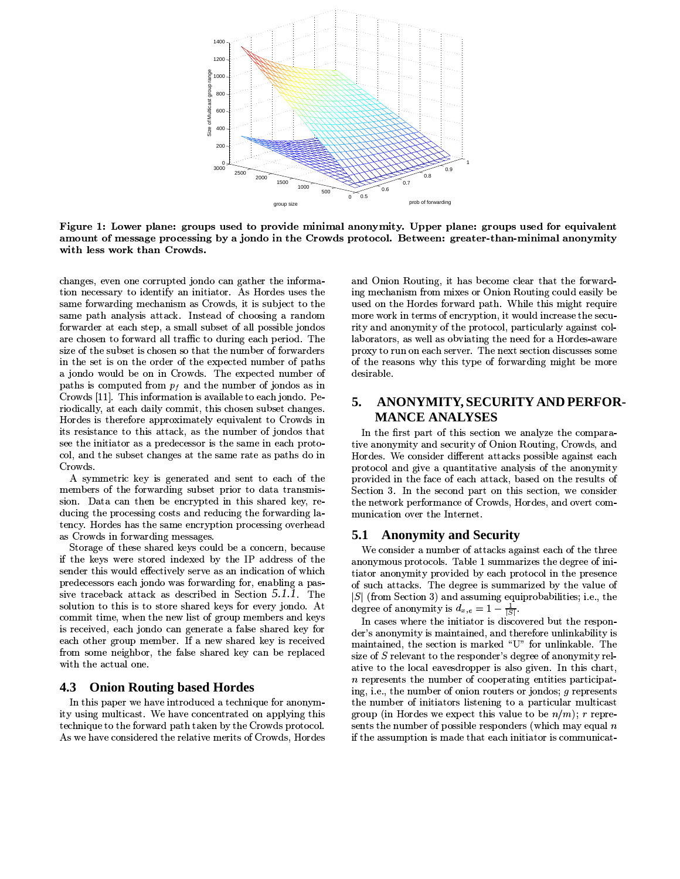

Figure 1: Lower plane: groups used to provide minimal anonymity. Upper plane: groups used for equivalent amount of message processing by a jondo in the Crowds protocol. Between: greater-than-minimal anonymity with less work than Crowds.

changes, even one corrupted jondo can gather the information necessary to identify an initiator. As Hordes uses the same forwarding mechanism as Crowds, it is subject to the same path analysis attack. Instead of choosing a random forwarder at each step, a small subset of all possible jondos are chosen to forward all traffic to during each period. The size of the subset is chosen so that the number of forwarders in the set is on the order of the expected number of paths a jondo would be on in Crowds. The expected number of paths is computed from  $p_f$  and the number of jondos as in Crowds [11]. This information is available to each jondo. Periodically, at each daily commit, this chosen subset changes. Hordes is therefore approximately equivalent to Crowds in its resistance to this attack, as the number of jondos that see the initiator as a predecessor is the same in each protocol, and the subset changes at the same rate as paths do in Crowds.

A symmetric key is generated and sent to each of the members of the forwarding subset prior to data transmission. Data can then be encrypted in this shared key, reducing the processing costs and reducing the forwarding latency. Hordes has the same encryption processing overhead as Crowds in forwarding messages.

Storage of these shared keys could be a concern, because if the keys were stored indexed by the IP address of the sender this would effectively serve as an indication of which predecessors each jondo was forwarding for, enabling a passive traceback attack as described in Section 5.1.1. The solution to this is to store shared keys for every jondo. At commit time, when the new list of group members and keys is received, each jondo can generate a false shared key for each other group member. If a new shared key is received from some neighbor, the false shared key can be replaced with the actual one.

#### 4.3 **Onion Routing based Hordes**

In this paper we have introduced a technique for anonymity using multicast. We have concentrated on applying this technique to the forward path taken by the Crowds protocol. As we have considered the relative merits of Crowds, Hordes and Onion Routing, it has become clear that the forwarding mechanism from mixes or Onion Routing could easily be used on the Hordes forward path. While this might require more work in terms of encryption, it would increase the security and anonymity of the protocol, particularly against collaborators, as well as obviating the need for a Hordes-aware proxy to run on each server. The next section discusses some of the reasons why this type of forwarding might be more desirable.

### ANONYMITY, SECURITY AND PERFOR-5. **MANCE ANALYSES**

In the first part of this section we analyze the comparative anonymity and security of Onion Routing, Crowds, and Hordes. We consider different attacks possible against each protocol and give a quantitative analysis of the anonymity provided in the face of each attack, based on the results of Section 3. In the second part on this section, we consider the network performance of Crowds, Hordes, and overt communication over the Internet.

### **5.1 Anonymity and Security**

We consider a number of attacks against each of the three anonymous protocols. Table 1 summarizes the degree of initiator anonymity provided by each protocol in the presence of such attacks. The degree is summarized by the value of  $|S|$  (from Section 3) and assuming equiprobabilities; i.e., the degree of anonymity is  $d_{x,e} = 1 - \frac{1}{|S|}$ .

In cases where the initiator is discovered but the responder's anonymity is maintained, and therefore unlinkability is maintained, the section is marked "U" for unlinkable. The size of S relevant to the responder's degree of anonymity relative to the local eavesdropper is also given. In this chart,  $n$  represents the number of cooperating entities participating, i.e., the number of onion routers or jondos;  $q$  represents the number of initiators listening to a particular multicast group (in Hordes we expect this value to be  $n/m$ ); r represents the number of possible responders (which may equal  $n$ if the assumption is made that each initiator is communicat-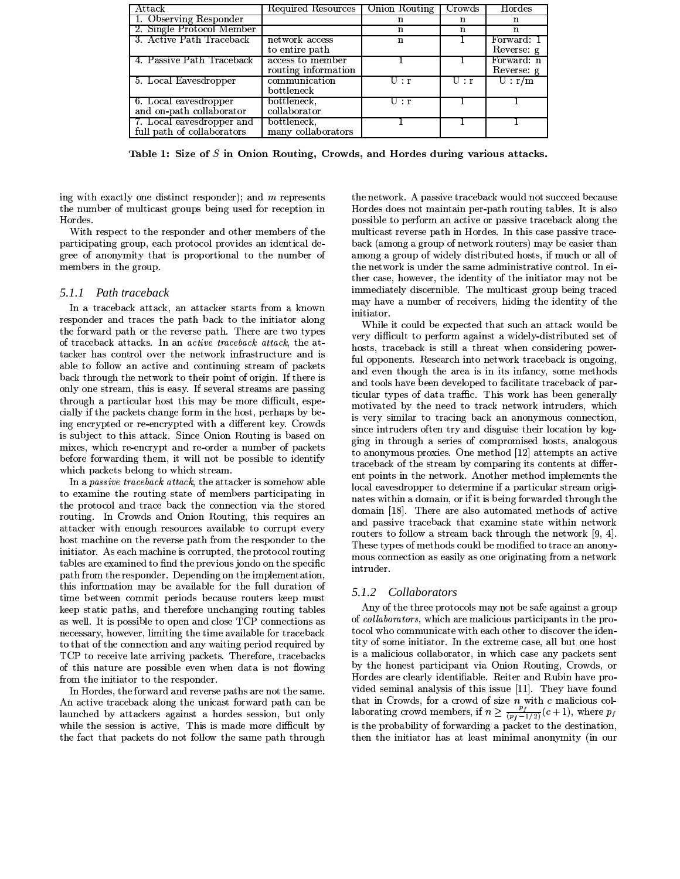| <b>Attack</b>                                           | Required Resources                      | Onion Routing | Crowds      | Hordes                   |
|---------------------------------------------------------|-----------------------------------------|---------------|-------------|--------------------------|
| 1. Observing Responder                                  |                                         | n             | n           | n                        |
| 2. Single Protocol Member                               |                                         | n             | n           | n                        |
| 3. Active Path Traceback                                | network access<br>to entire path        | n             |             | Forward: 1<br>Reverse: g |
| 4. Passive Path Traceback                               | access to member<br>routing information |               |             | Forward: n<br>Reverse: g |
| 5. Local Eavesdropper                                   | communication<br>bottleneck             | $U:$ r        | $U \cdot r$ | U : r/m                  |
| 6. Local eavesdropper<br>and on-path collaborator       | bottleneck,<br>collaborator             | U:r           |             |                          |
| 7. Local eavesdropper and<br>full path of collaborators | bottleneck,<br>many collaborators       |               |             |                          |

Table 1: Size of S in Onion Routing, Crowds, and Hordes during various attacks.

ing with exactly one distinct responder); and  $m$  represents the number of multicast groups being used for reception in Hordes.

With respect to the responder and other members of the participating group, each protocol provides an identical degree of anonymity that is proportional to the number of members in the group.

#### $5.1.1$ Path traceback

In a traceback attack, an attacker starts from a known responder and traces the path back to the initiator along the forward path or the reverse path. There are two types of traceback attacks. In an *active traceback attack*, the attacker has control over the network infrastructure and is able to follow an active and continuing stream of packets back through the network to their point of origin. If there is only one stream, this is easy. If several streams are passing through a particular host this may be more difficult, especially if the packets change form in the host, perhaps by being encrypted or re-encrypted with a different key. Crowds is subject to this attack. Since Onion Routing is based on mixes, which re-encrypt and re-order a number of packets before forwarding them, it will not be possible to identify which packets belong to which stream.

In a *passive traceback attack*, the attacker is somehow able to examine the routing state of members participating in the protocol and trace back the connection via the stored routing. In Crowds and Onion Routing, this requires an attacker with enough resources available to corrupt every host machine on the reverse path from the responder to the initiator. As each machine is corrupted, the protocol routing tables are examined to find the previous jondo on the specific path from the responder. Depending on the implementation, this information may be available for the full duration of time between commit periods because routers keep must keep static paths, and therefore unchanging routing tables as well. It is possible to open and close TCP connections as necessary, however, limiting the time available for traceback to that of the connection and any waiting period required by TCP to receive late arriving packets. Therefore, tracebacks of this nature are possible even when data is not flowing from the initiator to the responder.

In Hordes, the forward and reverse paths are not the same. An active traceback along the unicast forward path can be launched by attackers against a hordes session, but only while the session is active. This is made more difficult by the fact that packets do not follow the same path through

the network. A passive traceback would not succeed because Hordes does not maintain per-path routing tables. It is also possible to perform an active or passive traceback along the multicast reverse path in Hordes. In this case passive traceback (among a group of network routers) may be easier than among a group of widely distributed hosts, if much or all of the network is under the same administrative control. In either case, however, the identity of the initiator may not be immediately discernible. The multicast group being traced may have a number of receivers, hiding the identity of the initiator.

While it could be expected that such an attack would be very difficult to perform against a widely-distributed set of hosts, traceback is still a threat when considering powerful opponents. Research into network traceback is ongoing, and even though the area is in its infancy, some methods and tools have been developed to facilitate traceback of particular types of data traffic. This work has been generally motivated by the need to track network intruders, which is very similar to tracing back an anonymous connection, since intruders often try and disguise their location by logging in through a series of compromised hosts, analogous to anonymous proxies. One method [12] attempts an active traceback of the stream by comparing its contents at different points in the network. Another method implements the local eavesdropper to determine if a particular stream originates within a domain, or if it is being forwarded through the domain [18]. There are also automated methods of active and passive traceback that examine state within network routers to follow a stream back through the network [9, 4]. These types of methods could be modified to trace an anonymous connection as easily as one originating from a network intruder.

### 5.1.2 Collaborators

Any of the three protocols may not be safe against a group of *collaborators*, which are malicious participants in the protocol who communicate with each other to discover the identity of some initiator. In the extreme case, all but one host is a malicious collaborator, in which case any packets sent by the honest participant via Onion Routing, Crowds, or Hordes are clearly identifiable. Reiter and Rubin have provided seminal analysis of this issue [11]. They have found that in Crowds, for a crowd of size *n* with *c* malicious collaborating crowd members, if  $n \ge \frac{p_f}{(p_f-1/2)}(c+1)$ , where  $p_f$ is the probability of forwarding a packet to the destination, then the initiator has at least minimal anonymity (in our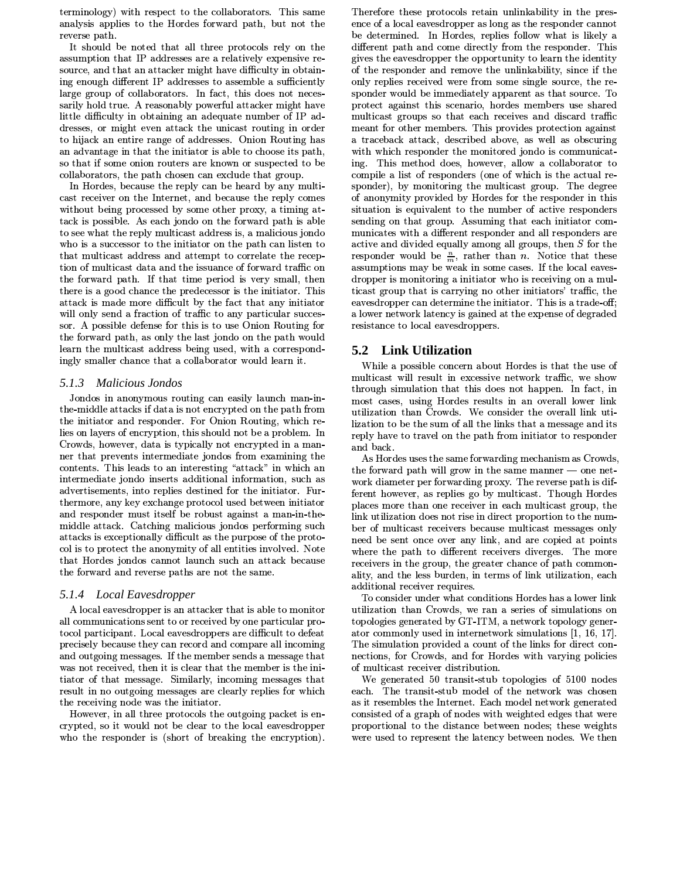terminology) with respect to the collaborators. This same analysis applies to the Hordes forward path, but not the reverse path.

It should be noted that all three protocols rely on the assumption that IP addresses are a relatively expensive resource, and that an attacker might have difficulty in obtaining enough different IP addresses to assemble a sufficiently large group of collaborators. In fact, this does not necessarily hold true. A reasonably powerful attacker might have little difficulty in obtaining an adequate number of IP addresses, or might even attack the unicast routing in order to hijack an entire range of addresses. Onion Routing has an advantage in that the initiator is able to choose its path, so that if some onion routers are known or suspected to be collaborators, the path chosen can exclude that group.

In Hordes, because the reply can be heard by any multicast receiver on the Internet, and because the reply comes without being processed by some other proxy, a timing attack is possible. As each jondo on the forward path is able to see what the reply multicast address is, a malicious jondo who is a successor to the initiator on the path can listen to that multicast address and attempt to correlate the reception of multicast data and the issuance of forward traffic on the forward path. If that time period is very small, then there is a good chance the predecessor is the initiator. This attack is made more difficult by the fact that any initiator will only send a fraction of traffic to any particular successor. A possible defense for this is to use Onion Routing for the forward path, as only the last jondo on the path would learn the multicast address being used, with a correspondingly smaller chance that a collaborator would learn it.

# 5.1.3 Malicious Jondos

Jondos in anonymous routing can easily launch man-inthe-middle attacks if data is not encrypted on the path from the initiator and responder. For Onion Routing, which relies on layers of encryption, this should not be a problem. In Crowds, however, data is typically not encrypted in a manner that prevents intermediate jondos from examining the contents. This leads to an interesting "attack" in which an intermediate jondo inserts additional information, such as advertisements, into replies destined for the initiator. Furthermore, any key exchange protocol used between initiator and responder must itself be robust against a man-in-themiddle attack. Catching malicious jondos performing such attacks is exceptionally difficult as the purpose of the protocol is to protect the anonymity of all entities involved. Note that Hordes jondos cannot launch such an attack because the forward and reverse paths are not the same.

# 5.1.4 Local Eavesdropper

A local eavesdropper is an attacker that is able to monitor all communications sent to or received by one particular protocol participant. Local eavesdroppers are difficult to defeat precisely because they can record and compare all incoming and outgoing messages. If the member sends a message that was not received, then it is clear that the member is the initiator of that message. Similarly, incoming messages that result in no outgoing messages are clearly replies for which the receiving node was the initiator.

However, in all three protocols the outgoing packet is encrypted, so it would not be clear to the local eavesdropper who the responder is (short of breaking the encryption).

Therefore these protocols retain unlinkability in the presence of a local eavesdropper as long as the responder cannot be determined. In Hordes, replies follow what is likely a different path and come directly from the responder. This gives the eavesdropper the opportunity to learn the identity of the responder and remove the unlinkability, since if the only replies received were from some single source, the responder would be immediately apparent as that source. To protect against this scenario, hordes members use shared multicast groups so that each receives and discard traffic meant for other members. This provides protection against a traceback attack, described above, as well as obscuring with which responder the monitored jondo is communicating. This method does, however, allow a collaborator to compile a list of responders (one of which is the actual responder), by monitoring the multicast group. The degree of anonymity provided by Hordes for the responder in this situation is equivalent to the number of active responders sending on that group. Assuming that each initiator communicates with a different responder and all responders are active and divided equally among all groups, then  $S$  for the responder would be  $\frac{n}{m}$ , rather than *n*. Notice that these assumptions may be weak in some cases. If the local eavesdropper is monitoring a initiator who is receiving on a multicast group that is carrying no other initiators' traffic, the eavesdropper can determine the initiator. This is a trade-off; a lower network latency is gained at the expense of degraded resistance to local eavesdroppers.

#### **Link Utilization**  $5.2$

While a possible concern about Hordes is that the use of multicast will result in excessive network traffic, we show through simulation that this does not happen. In fact, in most cases, using Hordes results in an overall lower link utilization than Crowds. We consider the overall link utilization to be the sum of all the links that a message and its reply have to travel on the path from initiator to responder and back.

As Hordes uses the same forwarding mechanism as Crowds, the forward path will grow in the same manner - one network diameter per forwarding proxy. The reverse path is different however, as replies go by multicast. Though Hordes places more than one receiver in each multicast group, the link utilization does not rise in direct proportion to the number of multicast receivers because multicast messages only need be sent once over any link, and are copied at points where the path to different receivers diverges. The more receivers in the group, the greater chance of path commonality, and the less burden, in terms of link utilization, each additional receiver requires.

To consider under what conditions Hordes has a lower link utilization than Crowds, we ran a series of simulations on topologies generated by GT-ITM, a network topology generator commonly used in internetwork simulations [1, 16, 17]. The simulation provided a count of the links for direct connections, for Crowds, and for Hordes with varying policies of multicast receiver distribution.

We generated 50 transit-stub topologies of 5100 nodes each. The transit-stub model of the network was chosen as it resembles the Internet. Each model network generated consisted of a graph of nodes with weighted edges that were proportional to the distance between nodes; these weights were used to represent the latency between nodes. We then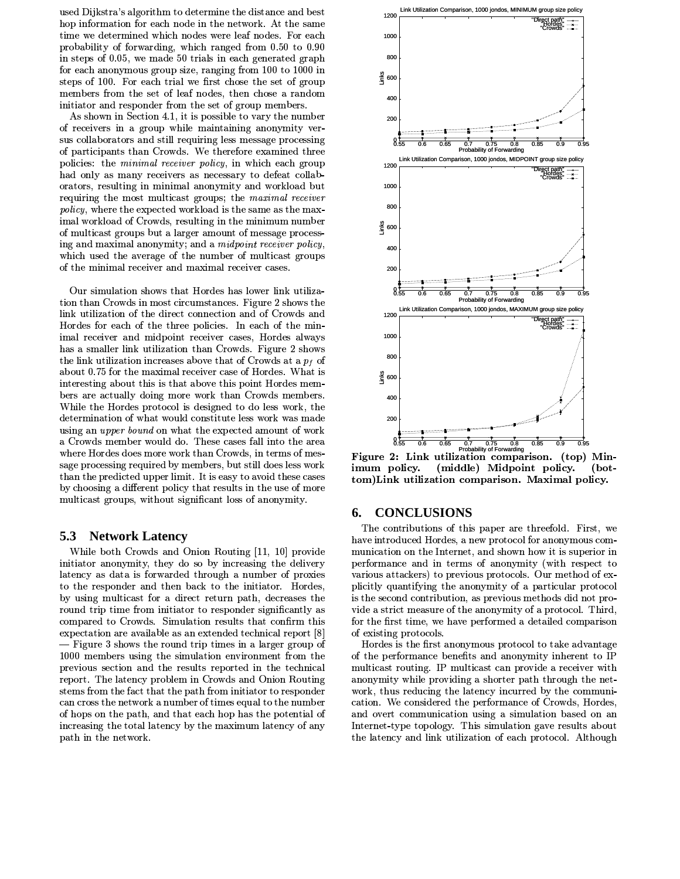. The set of the set of the set of the set of the set of the set of the set of the set of the set of the set of the set of the set of the set of the set of the set of the set of the set of the set of the set of the set of -  - - = - - - -  H   $-$  . The state of the state of the state of the state of the state of the state of the state of the state of the state of the state of the state of the state of the state of the state of the state of the state of the sta r and and the state of the state of the state of the state of the state of the state of the state of the state  $\overline{\phantom{a}}$  , and a set of the set of the set of the set of the set of the set of the set of the set of the set of the set of the set of the set of the set of the set of the set of the set of the set of the set of the set - 
 68 8 H  - -  - - - - -  - - 
 - -

 $\blacksquare$  . The set of the set of the set of the set of the set of the set of the set of the set of the set of the set of the set of the set of the set of the set of the set of the set of the set of the set of the set of the  $\blacksquare$  . The contract of the contract of the contract of the contract of the contract of the contract of the contract of the contract of the contract of the contract of the contract of the contract of the contract of the - and the set of the set of the set of the set of the set of the set of the set of the set of the set of the set of the set of the set of the set of the set of the set of the set of the set of the set of the set of the se policies: the *minimal receiver policy*, in which each group  $\frac{100}{200}$ . The contract of the contract of the contract of the contract of the contract of the contract of the contract of the contract of the contract of the contract of the contract of the contract of the contract of the contrac - And the second contract of the second contract of the second contract of the second contract of the second contract of the second contract of the second contract of the second contract of the second contract of the secon  $r_{\text{e}}$  requiring the most multicast groups: the maximal receiver  $\mathbf{B}$  . The contract of the contract of the contract of the contract of the contract of the contract of the contract of the contract of the contract of the contract of the contract of the contract of the contract of th - -  $\sim$  . The contract of the contract of  $\sim$  . The contract of the contract of  $\sim$  . The contract of the contract of the contract of the contract of the contract of the contract of the contract of the contract of the cont  $\lim_{\epsilon \to 0}$  and maximal anonymity: and a *midpoint receiver policy.*  $\blacksquare$  . The contract of the contract of the contract of the contract of the contract of the contract of the contract of the contract of the contract of the contract of the contract of the contract of the contract of the  $\blacksquare$  . The contract of the contract of the contract of the contract of the contract of the contract of the contract of the contract of the contract of the contract of the contract of the contract of the contract of the

 - - - - 2  $\blacksquare$  . A set of the set of the set of the set of the set of the set of the set of the set of the set of the set of the set of the set of the set of the set of the set of the set of the set of the set of the set of the s - 2 - -  -   -  $-$  -  $\qquad$  -  $\qquad$  -  $\qquad$  -  $\qquad$  -  $\qquad$  -  $\qquad$  -  $\qquad$  -  $\qquad$  -  $\qquad$  -  $\qquad$  -  $\qquad$  -  $\qquad$  -  $\qquad$  -  $\qquad$  -  $\qquad$  -  $\qquad$  -  $\qquad$  -  $\qquad$  -  $\qquad$  -  $\qquad$  -  $\qquad$  -  $\qquad$  -  $\qquad$  -  $\qquad$  -  $\qquad$  -  $\qquad$  -  $\qquad$  and the contract of the contract of the contract of the contract of the contract of the contract of the contract of the contract of the contract of the contract of the contract of the contract of the contract of the contra - 2 - - H <sup>&</sup>gt;  $\alpha$  ,  $\alpha$  ,  $\alpha$  ,  $\alpha$  ,  $\alpha$  ,  $\alpha$  ,  $\alpha$  ,  $\alpha$  ,  $\alpha$  ,  $\alpha$  ,  $\alpha$  ,  $\alpha$  ,  $\alpha$  ,  $\alpha$  ,  $\alpha$  ,  $\alpha$  ,  $\alpha$  ,  $\alpha$  ,  $\alpha$  ,  $\alpha$  ,  $\alpha$  ,  $\alpha$  ,  $\alpha$  ,  $\alpha$  ,  $\alpha$  ,  $\alpha$  ,  $\alpha$  ,  $\alpha$  ,  $\alpha$  ,  $\alpha$  ,  $\alpha$  ,  $\alpha$  $\mathbf{A}$  and  $\mathbf{A}$  are the set of  $\mathbf{A}$  . The set of  $\mathbf{A}$  is a set of  $\mathbf{A}$  is a set of  $\mathbf{A}$  is a set of  $\mathbf{A}$  is a set of  $\mathbf{A}$  is a set of  $\mathbf{A}$  is a set of  $\mathbf{A}$  is a set of  $\mathbf{A}$  is a s - - - - - - - - . The contract of the contract of the contract of the contract of the contract of the contract of the contract of the contract of the contract of the contract of the contract of the contract of the contract of the contrac - -  - - - - -  - - using an *upper bound* on what the expected amount of work  $\qquad \qquad \qquad \Box$   - - - -  - -  $\mathbf{r} = \mathbf{r} + \mathbf{r}$  , and the contribution of the contribution of the contribution of the contribution of the contribution of the contribution of the contribution of the contribution of the contribution of the contribu  / -  - - - -  $\blacksquare$  . The contract of the contract of the contract of the contract of the contract of the contract of the contract of the contract of the contract of the contract of the contract of the contract of the contract of the

# **5.3 Network Latency**

 - ! - 36 6 68 :  $\mathcal{L} = \mathcal{L} \times \mathcal{L}$  . The contract of the contract of the contract of the contract of the contract of the contract of the contract of the contract of the contract of the contract of the contract of the contract of the . The contract of the contract of the contract of the contract of the contract of the contract of the contract of the contract of the contract of the contract of the contract of the contract of the contract of the contrac recovered to the contract of the contract of the contract of the contract of the contract of the contract of th . The contract of the contract of the contract of the contract of the contract of the contract of the contract of the contract of the contract of the contract of the contract of the contract of the contract of the contrac -between the second contract of the second contract of the second contract of the second contract of the second contract of the second contract of the second contract of the second contract of the second contract of the se results to the contract of the contract of the contract of the contract of the contract of the contract of the  $\sim$  . The set of the set of the set of the set of the set of the set of the set of the set of the set of the set of the set of the set of the set of the set of the set of the set of the set of the set of the set of the s Figure 2 shows the round trip times in a larger group of Hordes is t 68 8 8 - - - results the contract of the contract of the contract of the contract of the contract of the contract of the con 
 - -   $\alpha$  , and the state of the state of the state of the state of the state of the state of the state of the state of the state of the state of the state of the state of the state of the state of the state of the state of th  $\overline{\phantom{a}}$ . The set of the set of the set of the set of the set of the set of the set of the set of the set of the set of the set of the set of the set of the set of the set of the set of the set of the set of the set of the set of - - -



   -  . A construction of the construction of the construction of the construction of the construction of  $\mathcal{A}$ 

# **6. CONCLUSIONS**

 $\blacksquare$  . The set of the set of the set of the set of the set of the set of the set of the set of the set of the set of the set of the set of the set of the set of the set of the set of the set of the set of the set of the  $-$  . The state of the state of the state of the state of the state of the state of the state of the state of the state of the state of the state of the state of the state of the state of the state of the state of the sta  $\blacksquare$  . The set of the set of the set of the set of the set of the set of the set of the set of the set of the set of the set of the set of the set of the set of the set of the set of the set of the set of the set of the  $\blacksquare$  . The contract of the contract of the contract of the contract of the contract of the contract of the contract of the contract of the contract of the contract of the contract of the contract of the contract of the - - - -  
  - - - 
 - H -  $\blacksquare$  . The set of the set of the set of the set of the set of the set of the set of the set of the set of the set of the set of the set of the set of the set of the set of the set of the set of the set of the set of the  $-$  -  $-$  -  $-$  -  $-$  -  $-$  -  $-$  -  $-$  -  $-$  -  $-$  -  $-$  -  $-$  -  $-$  -  $-$  -  $-$  -  $-$  -  $-$  -  $-$  -  $-$  -  $-$  -  $-$  -  $-$  -  $-$  -  $-$  -  $-$  -  $-$  -  $-$  -  $-$  -  $-$  -  $-$  -  $-$  -  $-$  -  $-$  -  $-$  -  $-$  -  $-$  -  $-$  -  $-$  -. The contract of the contract of the contract of the contract of the contract of the contract of the contract of the contract of the contract of the contract of the contract of the contract of the contract of the contract

 -  - - - - " . The set of the set of the set of the set of the set of the set of the set of the set of the set of the set of the set of the set of the set of the set of the set of the set of the set of the set of the set of the set of ! - - - - - - - -  - -   -   $\blacksquare$  . The contract of the contract of the contract of the contract of the contract of the contract of the contract of the contract of the contract of the contract of the contract of the contract of the contract of the  $\overline{\phantom{a}}$  ,  $\overline{\phantom{a}}$  ,  $\overline{\phantom{a}}$  ,  $\overline{\phantom{a}}$  ,  $\overline{\phantom{a}}$  ,  $\overline{\phantom{a}}$  ,  $\overline{\phantom{a}}$  ,  $\overline{\phantom{a}}$  ,  $\overline{\phantom{a}}$  ,  $\overline{\phantom{a}}$  ,  $\overline{\phantom{a}}$  ,  $\overline{\phantom{a}}$  ,  $\overline{\phantom{a}}$  ,  $\overline{\phantom{a}}$  ,  $\overline{\phantom{a}}$  ,  $\overline{\phantom{a}}$  - - -  - - -  $\sim$  . The same state is the state of the state of the state is the state of the state of the state  $\sim$  $\mathbf{A}$  . The state of the state of the state of the state of the state of the state of the state of the state of the state of the state of the state of the state of the state of the state of the state of the state of th